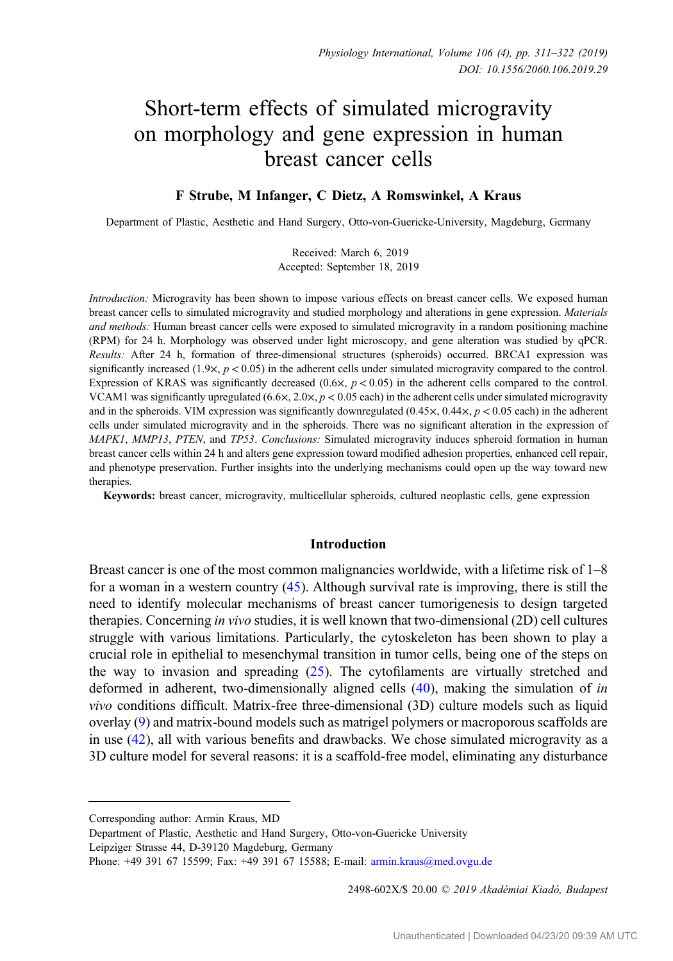# Short-term effects of simulated microgravity on morphology and gene expression in human breast cancer cells

# F Strube, M Infanger, C Dietz, A Romswinkel, A Kraus

Department of Plastic, Aesthetic and Hand Surgery, Otto-von-Guericke-University, Magdeburg, Germany

Received: March 6, 2019 Accepted: September 18, 2019

Introduction: Microgravity has been shown to impose various effects on breast cancer cells. We exposed human breast cancer cells to simulated microgravity and studied morphology and alterations in gene expression. Materials and methods: Human breast cancer cells were exposed to simulated microgravity in a random positioning machine (RPM) for 24 h. Morphology was observed under light microscopy, and gene alteration was studied by qPCR. Results: After 24 h, formation of three-dimensional structures (spheroids) occurred. BRCA1 expression was significantly increased  $(1.9 \times, p < 0.05)$  in the adherent cells under simulated microgravity compared to the control. Expression of KRAS was significantly decreased  $(0.6 \times, p < 0.05)$  in the adherent cells compared to the control. VCAM1 was significantly upregulated (6.6 $\times$ , 2.0 $\times$ ,  $p < 0.05$  each) in the adherent cells under simulated microgravity and in the spheroids. VIM expression was significantly downregulated  $(0.45 \times, 0.44 \times, p < 0.05$  each) in the adherent cells under simulated microgravity and in the spheroids. There was no significant alteration in the expression of MAPK1, MMP13, PTEN, and TP53. Conclusions: Simulated microgravity induces spheroid formation in human breast cancer cells within 24 h and alters gene expression toward modified adhesion properties, enhanced cell repair, and phenotype preservation. Further insights into the underlying mechanisms could open up the way toward new therapies.

Keywords: breast cancer, microgravity, multicellular spheroids, cultured neoplastic cells, gene expression

## Introduction

Breast cancer is one of the most common malignancies worldwide, with a lifetime risk of 1–8 for a woman in a western country  $(45)$  $(45)$ . Although survival rate is improving, there is still the need to identify molecular mechanisms of breast cancer tumorigenesis to design targeted therapies. Concerning in vivo studies, it is well known that two-dimensional (2D) cell cultures struggle with various limitations. Particularly, the cytoskeleton has been shown to play a crucial role in epithelial to mesenchymal transition in tumor cells, being one of the steps on the way to invasion and spreading ([25\)](#page-10-0). The cytofilaments are virtually stretched and deformed in adherent, two-dimensionally aligned cells [\(40](#page-10-0)), making the simulation of in vivo conditions difficult. Matrix-free three-dimensional (3D) culture models such as liquid overlay [\(9](#page-9-0)) and matrix-bound models such as matrigel polymers or macroporous scaffolds are in use [\(42](#page-10-0)), all with various benefits and drawbacks. We chose simulated microgravity as a 3D culture model for several reasons: it is a scaffold-free model, eliminating any disturbance

2498-602X/\$ 20.00 © 2019 Akadémiai Kiadó, Budapest

Corresponding author: Armin Kraus, MD

Department of Plastic, Aesthetic and Hand Surgery, Otto-von-Guericke University Leipziger Strasse 44, D-39120 Magdeburg, Germany

Phone: +49 391 67 15599; Fax: +49 391 67 15588; E-mail: [armin.kraus@med.ovgu.de](mailto:armin.kraus@med.ovgu.de)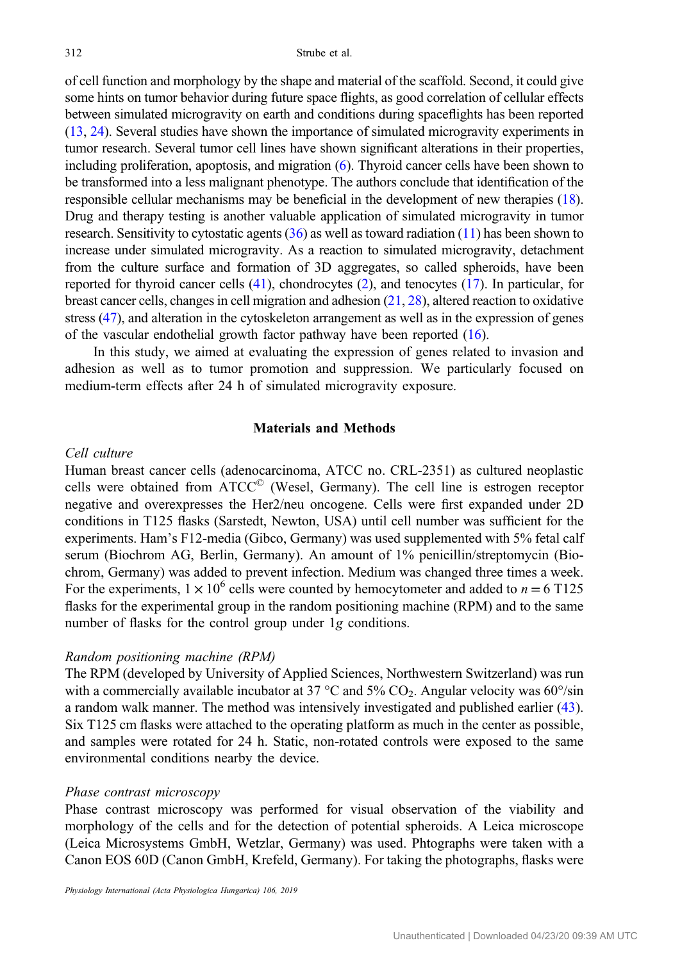of cell function and morphology by the shape and material of the scaffold. Second, it could give some hints on tumor behavior during future space flights, as good correlation of cellular effects between simulated microgravity on earth and conditions during spaceflights has been reported [\(13,](#page-9-0) [24\)](#page-10-0). Several studies have shown the importance of simulated microgravity experiments in tumor research. Several tumor cell lines have shown significant alterations in their properties, including proliferation, apoptosis, and migration [\(6](#page-9-0)). Thyroid cancer cells have been shown to be transformed into a less malignant phenotype. The authors conclude that identification of the responsible cellular mechanisms may be beneficial in the development of new therapies ([18](#page-9-0)). Drug and therapy testing is another valuable application of simulated microgravity in tumor research. Sensitivity to cytostatic agents  $(36)$  $(36)$  as well as toward radiation  $(11)$  has been shown to increase under simulated microgravity. As a reaction to simulated microgravity, detachment from the culture surface and formation of 3D aggregates, so called spheroids, have been reported for thyroid cancer cells [\(41\)](#page-10-0), chondrocytes ([2\)](#page-9-0), and tenocytes ([17](#page-9-0)). In particular, for breast cancer cells, changes in cell migration and adhesion  $(21, 28)$  $(21, 28)$  $(21, 28)$ , altered reaction to oxidative stress ([47\)](#page-11-0), and alteration in the cytoskeleton arrangement as well as in the expression of genes of the vascular endothelial growth factor pathway have been reported ([16\)](#page-9-0).

In this study, we aimed at evaluating the expression of genes related to invasion and adhesion as well as to tumor promotion and suppression. We particularly focused on medium-term effects after 24 h of simulated microgravity exposure.

#### Materials and Methods

#### Cell culture

Human breast cancer cells (adenocarcinoma, ATCC no. CRL-2351) as cultured neoplastic cells were obtained from ATCC© (Wesel, Germany). The cell line is estrogen receptor negative and overexpresses the Her2/neu oncogene. Cells were first expanded under 2D conditions in T125 flasks (Sarstedt, Newton, USA) until cell number was sufficient for the experiments. Ham's F12-media (Gibco, Germany) was used supplemented with 5% fetal calf serum (Biochrom AG, Berlin, Germany). An amount of 1% penicillin/streptomycin (Biochrom, Germany) was added to prevent infection. Medium was changed three times a week. For the experiments,  $1 \times 10^6$  cells were counted by hemocytometer and added to  $n = 6$  T125 flasks for the experimental group in the random positioning machine (RPM) and to the same number of flasks for the control group under 1g conditions.

## Random positioning machine (RPM)

The RPM (developed by University of Applied Sciences, Northwestern Switzerland) was run with a commercially available incubator at 37 °C and 5%  $CO<sub>2</sub>$ . Angular velocity was 60°/sin a random walk manner. The method was intensively investigated and published earlier [\(43](#page-10-0)). Six T125 cm flasks were attached to the operating platform as much in the center as possible, and samples were rotated for 24 h. Static, non-rotated controls were exposed to the same environmental conditions nearby the device.

#### Phase contrast microscopy

Phase contrast microscopy was performed for visual observation of the viability and morphology of the cells and for the detection of potential spheroids. A Leica microscope (Leica Microsystems GmbH, Wetzlar, Germany) was used. Phtographs were taken with a Canon EOS 60D (Canon GmbH, Krefeld, Germany). For taking the photographs, flasks were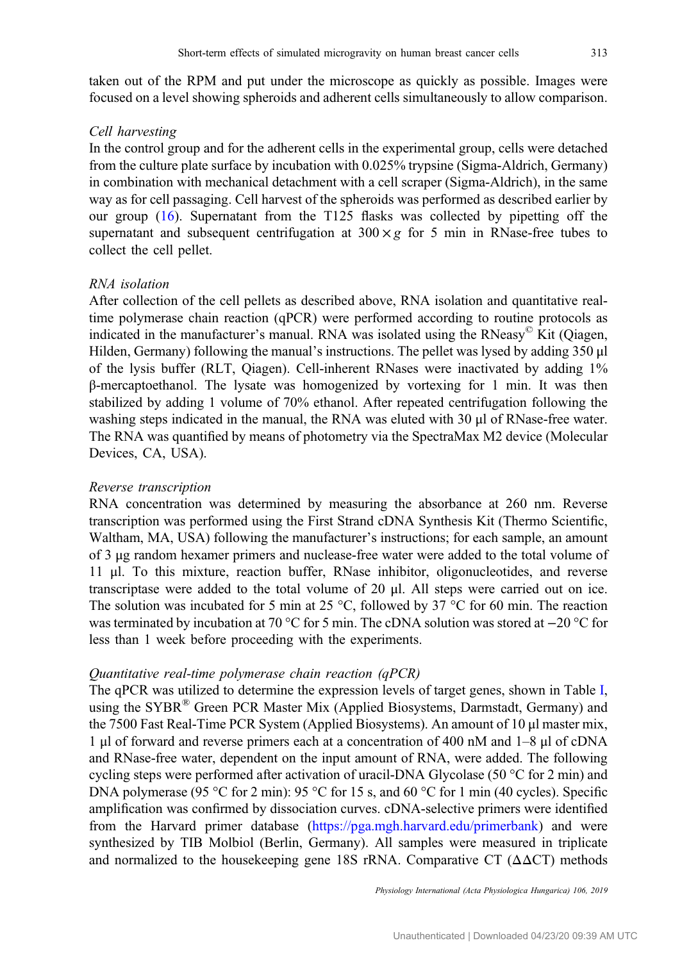taken out of the RPM and put under the microscope as quickly as possible. Images were focused on a level showing spheroids and adherent cells simultaneously to allow comparison.

#### Cell harvesting

In the control group and for the adherent cells in the experimental group, cells were detached from the culture plate surface by incubation with 0.025% trypsine (Sigma-Aldrich, Germany) in combination with mechanical detachment with a cell scraper (Sigma-Aldrich), in the same way as for cell passaging. Cell harvest of the spheroids was performed as described earlier by our group [\(16](#page-9-0)). Supernatant from the T125 flasks was collected by pipetting off the supernatant and subsequent centrifugation at  $300 \times g$  for 5 min in RNase-free tubes to collect the cell pellet.

## RNA isolation

After collection of the cell pellets as described above, RNA isolation and quantitative realtime polymerase chain reaction (qPCR) were performed according to routine protocols as indicated in the manufacturer's manual. RNA was isolated using the RNeasy $\mathscr{C}$  Kit (Qiagen, Hilden, Germany) following the manual's instructions. The pellet was lysed by adding 350 μl of the lysis buffer (RLT, Qiagen). Cell-inherent RNases were inactivated by adding 1% β-mercaptoethanol. The lysate was homogenized by vortexing for 1 min. It was then stabilized by adding 1 volume of 70% ethanol. After repeated centrifugation following the washing steps indicated in the manual, the RNA was eluted with 30 μl of RNase-free water. The RNA was quantified by means of photometry via the SpectraMax M2 device (Molecular Devices, CA, USA).

#### Reverse transcription

RNA concentration was determined by measuring the absorbance at 260 nm. Reverse transcription was performed using the First Strand cDNA Synthesis Kit (Thermo Scientific, Waltham, MA, USA) following the manufacturer's instructions; for each sample, an amount of 3 μg random hexamer primers and nuclease-free water were added to the total volume of 11 μl. To this mixture, reaction buffer, RNase inhibitor, oligonucleotides, and reverse transcriptase were added to the total volume of 20 μl. All steps were carried out on ice. The solution was incubated for 5 min at 25 °C, followed by 37 °C for 60 min. The reaction was terminated by incubation at 70 °C for 5 min. The cDNA solution was stored at −20 °C for less than 1 week before proceeding with the experiments.

## Quantitative real-time polymerase chain reaction (qPCR)

The qPCR was utilized to determine the expression levels of target genes, shown in Table [I,](#page-3-0) using the SYBR® Green PCR Master Mix (Applied Biosystems, Darmstadt, Germany) and the 7500 Fast Real-Time PCR System (Applied Biosystems). An amount of 10 μl master mix, 1 μl of forward and reverse primers each at a concentration of 400 nM and 1–8 μl of cDNA and RNase-free water, dependent on the input amount of RNA, were added. The following cycling steps were performed after activation of uracil-DNA Glycolase (50 °C for 2 min) and DNA polymerase (95 °C for 2 min): 95 °C for 15 s, and 60 °C for 1 min (40 cycles). Specific amplification was confirmed by dissociation curves. cDNA-selective primers were identified from the Harvard primer database ([https://pga.mgh.harvard.edu/primerbank\)](https://pga.mgh.harvard.edu/primerbank) and were synthesized by TIB Molbiol (Berlin, Germany). All samples were measured in triplicate and normalized to the housekeeping gene 18S rRNA. Comparative CT  $(ΔΔCT)$  methods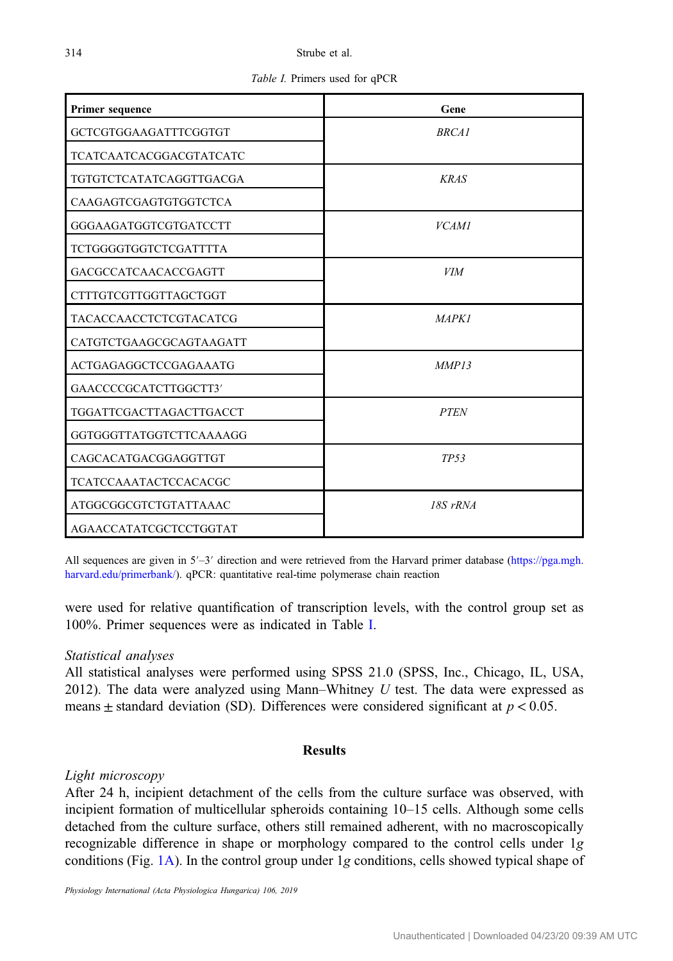Table I. Primers used for qPCR

<span id="page-3-0"></span>

| <b>Primer sequence</b>         | Gene             |
|--------------------------------|------------------|
| GCTCGTGGAAGATTTCGGTGT          | <b>BRCA1</b>     |
| <b>TCATCAATCACGGACGTATCATC</b> |                  |
| <b>TGTGTCTCATATCAGGTTGACGA</b> | <b>KRAS</b>      |
| CAAGAGTCGAGTGTGGTCTCA          |                  |
| GGGAAGATGGTCGTGATCCTT          | <b>VCAM1</b>     |
| <b>TCTGGGGTGGTCTCGATTTTA</b>   |                  |
| <b>GACGCCATCAACACCGAGTT</b>    | <b>VIM</b>       |
| CTTTGTCGTTGGTTAGCTGGT          |                  |
| <b>TACACCAACCTCTCGTACATCG</b>  | <b>MAPK1</b>     |
| CATGTCTGAAGCGCAGTAAGATT        |                  |
| <b>ACTGAGAGGCTCCGAGAAATG</b>   | MMP13            |
| GAACCCCGCATCTTGGCTT3'          |                  |
| <b>TGGATTCGACTTAGACTTGACCT</b> | <b>PTEN</b>      |
| GGTGGGTTATGGTCTTCAAAAGG        |                  |
| CAGCACATGACGGAGGTTGT           | TP <sub>53</sub> |
| <b>TCATCCAAATACTCCACACGC</b>   |                  |
| ATGGCGGCGTCTGTATTAAAC          | $18S$ $rRNA$     |
| AGAACCATATCGCTCCTGGTAT         |                  |

All sequences are given in 5′–3′ direction and were retrieved from the Harvard primer database ([https://pga.mgh.](https://pga.mgh.harvard.edu/primerbank/) [harvard.edu/primerbank/](https://pga.mgh.harvard.edu/primerbank/)). qPCR: quantitative real-time polymerase chain reaction

were used for relative quantification of transcription levels, with the control group set as 100%. Primer sequences were as indicated in Table I.

# Statistical analyses

All statistical analyses were performed using SPSS 21.0 (SPSS, Inc., Chicago, IL, USA, 2012). The data were analyzed using Mann–Whitney  $U$  test. The data were expressed as means  $\pm$  standard deviation (SD). Differences were considered significant at  $p < 0.05$ .

## Results

## Light microscopy

After 24 h, incipient detachment of the cells from the culture surface was observed, with incipient formation of multicellular spheroids containing 10–15 cells. Although some cells detached from the culture surface, others still remained adherent, with no macroscopically recognizable difference in shape or morphology compared to the control cells under 1g conditions (Fig.  $1A$ ). In the control group under 1g conditions, cells showed typical shape of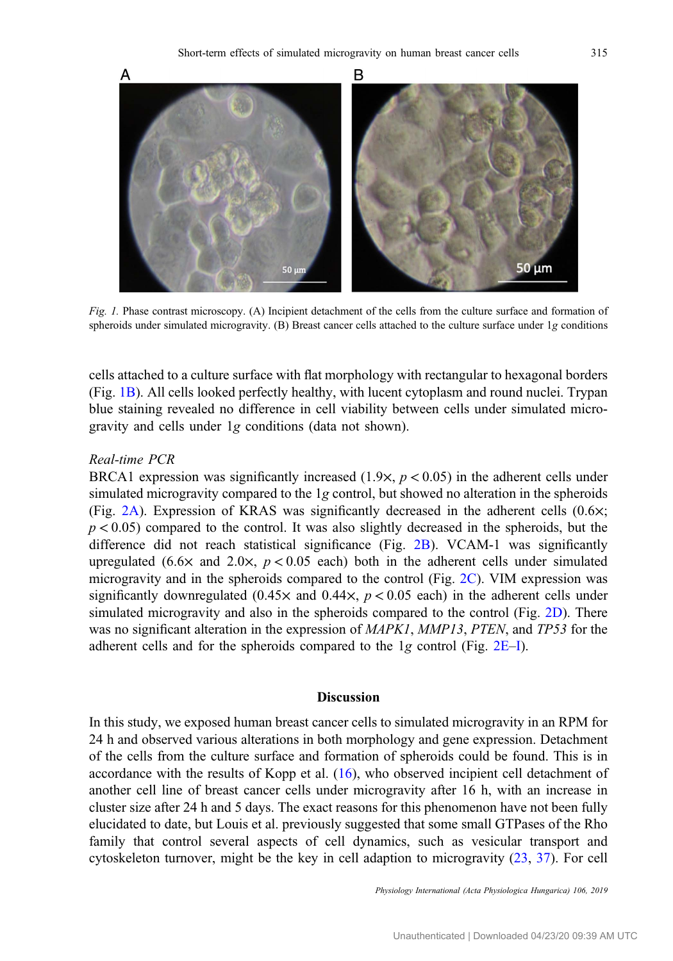<span id="page-4-0"></span>

Fig. 1. Phase contrast microscopy. (A) Incipient detachment of the cells from the culture surface and formation of spheroids under simulated microgravity. (B) Breast cancer cells attached to the culture surface under 1g conditions

cells attached to a culture surface with flat morphology with rectangular to hexagonal borders (Fig. 1B). All cells looked perfectly healthy, with lucent cytoplasm and round nuclei. Trypan blue staining revealed no difference in cell viability between cells under simulated microgravity and cells under 1g conditions (data not shown).

## Real-time PCR

BRCA1 expression was significantly increased  $(1.9 \times, p < 0.05)$  in the adherent cells under simulated microgravity compared to the 1g control, but showed no alteration in the spheroids (Fig. [2A](#page-5-0)). Expression of KRAS was significantly decreased in the adherent cells  $(0.6\times;$  $p < 0.05$ ) compared to the control. It was also slightly decreased in the spheroids, but the difference did not reach statistical significance (Fig. [2B\)](#page-5-0). VCAM-1 was significantly upregulated (6.6 $\times$  and 2.0 $\times$ ,  $p < 0.05$  each) both in the adherent cells under simulated microgravity and in the spheroids compared to the control (Fig. [2C](#page-5-0)). VIM expression was significantly downregulated (0.45 $\times$  and 0.44 $\times$ ,  $p < 0.05$  each) in the adherent cells under simulated microgravity and also in the spheroids compared to the control (Fig. [2D\)](#page-5-0). There was no significant alteration in the expression of *MAPK1*, *MMP13*, *PTEN*, and *TP53* for the adherent cells and for the spheroids compared to the 1g control (Fig. [2E](#page-5-0)–[I](#page-5-0)).

## Discussion

In this study, we exposed human breast cancer cells to simulated microgravity in an RPM for 24 h and observed various alterations in both morphology and gene expression. Detachment of the cells from the culture surface and formation of spheroids could be found. This is in accordance with the results of Kopp et al. [\(16](#page-9-0)), who observed incipient cell detachment of another cell line of breast cancer cells under microgravity after 16 h, with an increase in cluster size after 24 h and 5 days. The exact reasons for this phenomenon have not been fully elucidated to date, but Louis et al. previously suggested that some small GTPases of the Rho family that control several aspects of cell dynamics, such as vesicular transport and cytoskeleton turnover, might be the key in cell adaption to microgravity ([23,](#page-10-0) [37\)](#page-10-0). For cell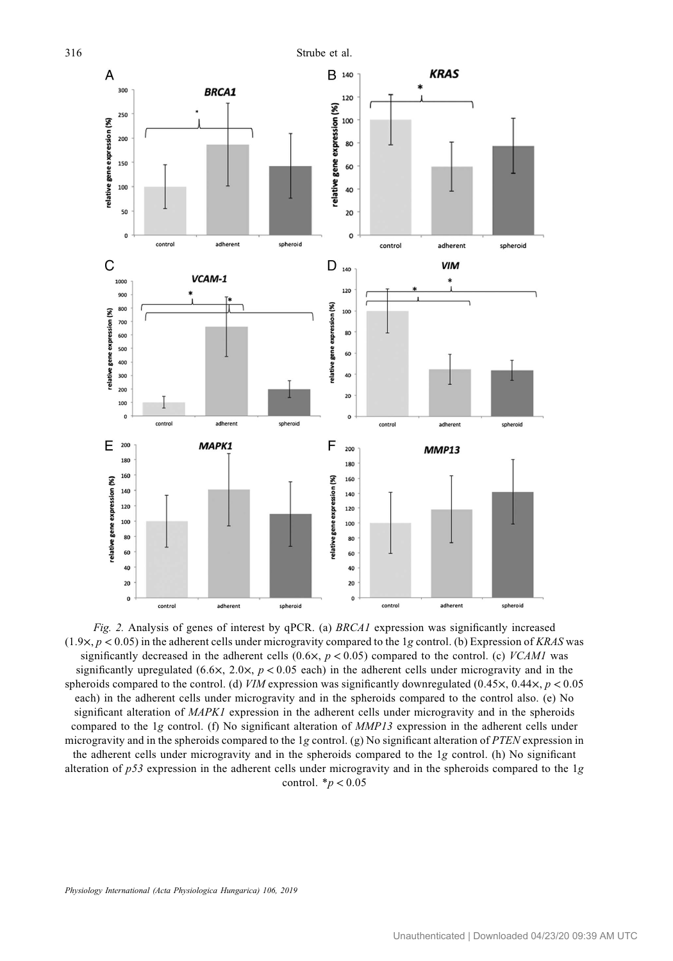<span id="page-5-0"></span>

Fig. 2. Analysis of genes of interest by qPCR. (a) BRCA1 expression was significantly increased  $(1.9 \times, p < 0.05)$  in the adherent cells under microgravity compared to the 1g control. (b) Expression of KRAS was significantly decreased in the adherent cells  $(0.6 \times, p < 0.05)$  compared to the control. (c) *VCAM1* was significantly upregulated (6.6 $\times$ , 2.0 $\times$ , p < 0.05 each) in the adherent cells under microgravity and in the spheroids compared to the control. (d) VIM expression was significantly downregulated (0.45 $\times$ , 0.44 $\times$ , p < 0.05 each) in the adherent cells under microgravity and in the spheroids compared to the control also. (e) No significant alteration of MAPK1 expression in the adherent cells under microgravity and in the spheroids compared to the 1g control. (f) No significant alteration of MMP13 expression in the adherent cells under microgravity and in the spheroids compared to the 1g control. (g) No significant alteration of PTEN expression in the adherent cells under microgravity and in the spheroids compared to the 1g control. (h) No significant alteration of  $p53$  expression in the adherent cells under microgravity and in the spheroids compared to the 1g control.  $**p* < 0.05$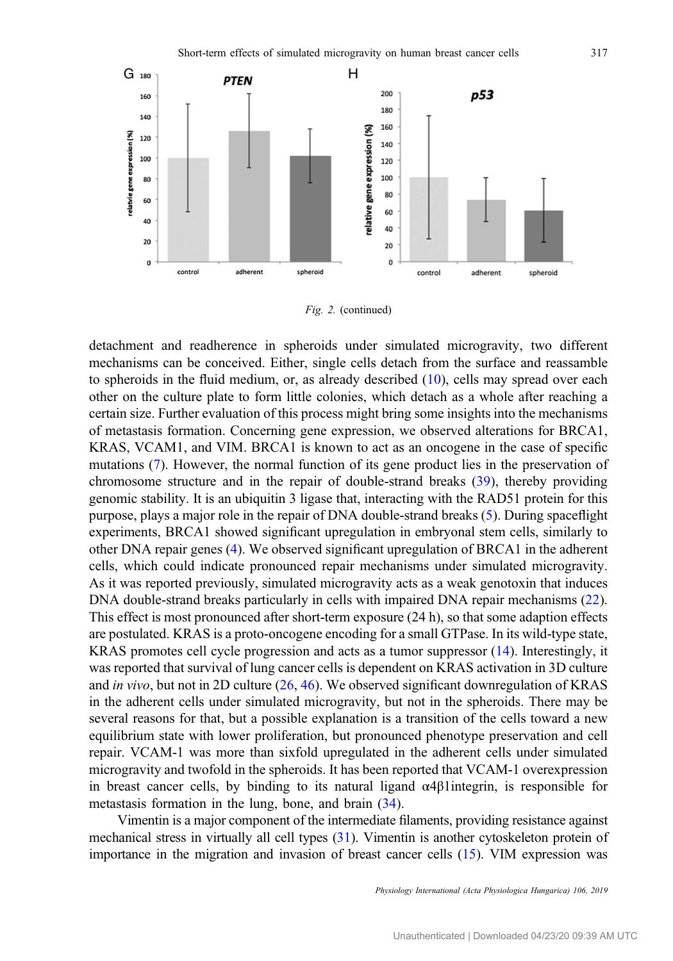

Fig. 2. (continued)

detachment and readherence in spheroids under simulated microgravity, two different mechanisms can be conceived. Either, single cells detach from the surface and reassamble to spheroids in the fluid medium, or, as already described  $(10)$  $(10)$ , cells may spread over each other on the culture plate to form little colonies, which detach as a whole after reaching a certain size. Further evaluation of this process might bring some insights into the mechanisms of metastasis formation. Concerning gene expression, we observed alterations for BRCA1, KRAS, VCAM1, and VIM. BRCA1 is known to act as an oncogene in the case of specific mutations ([7](#page-9-0)). However, the normal function of its gene product lies in the preservation of chromosome structure and in the repair of double-strand breaks [\(39](#page-10-0)), thereby providing genomic stability. It is an ubiquitin 3 ligase that, interacting with the RAD51 protein for this purpose, plays a major role in the repair of DNA double-strand breaks ([5\)](#page-9-0). During spaceflight experiments, BRCA1 showed significant upregulation in embryonal stem cells, similarly to other DNA repair genes ([4\)](#page-9-0). We observed significant upregulation of BRCA1 in the adherent cells, which could indicate pronounced repair mechanisms under simulated microgravity. As it was reported previously, simulated microgravity acts as a weak genotoxin that induces DNA double-strand breaks particularly in cells with impaired DNA repair mechanisms [\(22](#page-10-0)). This effect is most pronounced after short-term exposure (24 h), so that some adaption effects are postulated. KRAS is a proto-oncogene encoding for a small GTPase. In its wild-type state, KRAS promotes cell cycle progression and acts as a tumor suppressor ([14\)](#page-9-0). Interestingly, it was reported that survival of lung cancer cells is dependent on KRAS activation in 3D culture and in vivo, but not in 2D culture ([26](#page-10-0), [46\)](#page-11-0). We observed significant downregulation of KRAS in the adherent cells under simulated microgravity, but not in the spheroids. There may be several reasons for that, but a possible explanation is a transition of the cells toward a new equilibrium state with lower proliferation, but pronounced phenotype preservation and cell repair. VCAM-1 was more than sixfold upregulated in the adherent cells under simulated microgravity and twofold in the spheroids. It has been reported that VCAM-1 overexpression in breast cancer cells, by binding to its natural ligand α4β1integrin, is responsible for metastasis formation in the lung, bone, and brain [\(34](#page-10-0)).

Vimentin is a major component of the intermediate filaments, providing resistance against mechanical stress in virtually all cell types [\(31](#page-10-0)). Vimentin is another cytoskeleton protein of importance in the migration and invasion of breast cancer cells [\(15\)](#page-9-0). VIM expression was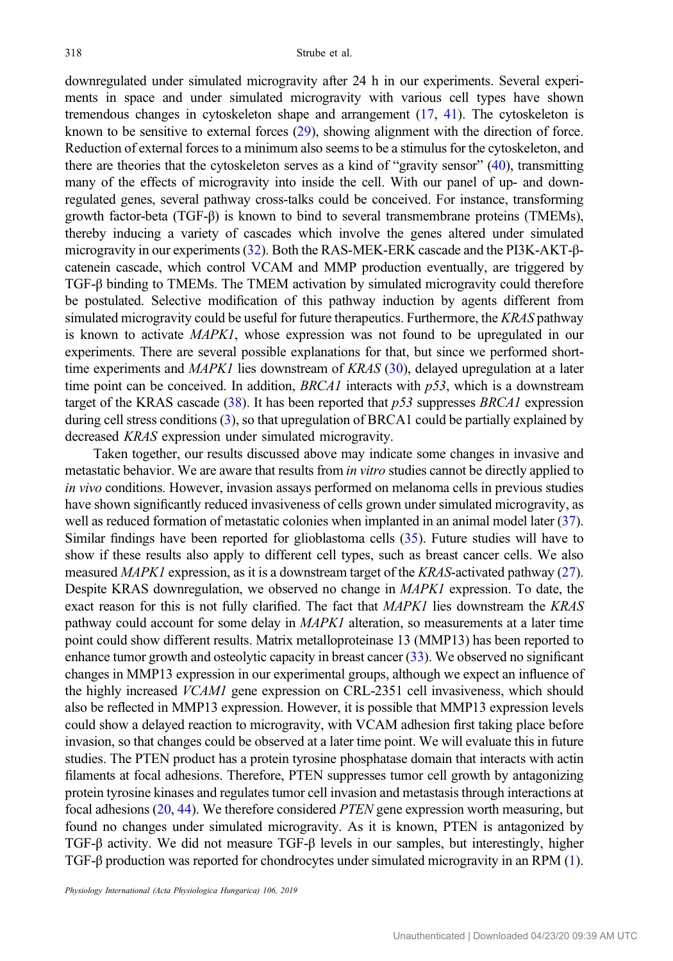downregulated under simulated microgravity after 24 h in our experiments. Several experiments in space and under simulated microgravity with various cell types have shown tremendous changes in cytoskeleton shape and arrangement [\(17](#page-9-0), [41\)](#page-10-0). The cytoskeleton is known to be sensitive to external forces [\(29](#page-10-0)), showing alignment with the direction of force. Reduction of external forces to a minimum also seems to be a stimulus for the cytoskeleton, and there are theories that the cytoskeleton serves as a kind of "gravity sensor" [\(40\)](#page-10-0), transmitting many of the effects of microgravity into inside the cell. With our panel of up- and downregulated genes, several pathway cross-talks could be conceived. For instance, transforming growth factor-beta (TGF-β) is known to bind to several transmembrane proteins (TMEMs), thereby inducing a variety of cascades which involve the genes altered under simulated microgravity in our experiments [\(32\)](#page-10-0). Both the RAS-MEK-ERK cascade and the PI3K-AKT-βcatenein cascade, which control VCAM and MMP production eventually, are triggered by TGF-β binding to TMEMs. The TMEM activation by simulated microgravity could therefore be postulated. Selective modification of this pathway induction by agents different from simulated microgravity could be useful for future therapeutics. Furthermore, the KRAS pathway is known to activate MAPK1, whose expression was not found to be upregulated in our experiments. There are several possible explanations for that, but since we performed shorttime experiments and  $MAPKI$  lies downstream of  $KRAS$  [\(30](#page-10-0)), delayed upregulation at a later time point can be conceived. In addition,  $BRCA1$  interacts with  $p53$ , which is a downstream target of the KRAS cascade [\(38](#page-10-0)). It has been reported that  $p53$  suppresses BRCA1 expression during cell stress conditions ([3\)](#page-9-0), so that upregulation of BRCA1 could be partially explained by decreased KRAS expression under simulated microgravity.

Taken together, our results discussed above may indicate some changes in invasive and metastatic behavior. We are aware that results from in vitro studies cannot be directly applied to in vivo conditions. However, invasion assays performed on melanoma cells in previous studies have shown significantly reduced invasiveness of cells grown under simulated microgravity, as well as reduced formation of metastatic colonies when implanted in an animal model later ([37](#page-10-0)). Similar findings have been reported for glioblastoma cells [\(35\)](#page-10-0). Future studies will have to show if these results also apply to different cell types, such as breast cancer cells. We also measured MAPK1 expression, as it is a downstream target of the KRAS-activated pathway ([27](#page-10-0)). Despite KRAS downregulation, we observed no change in *MAPK1* expression. To date, the exact reason for this is not fully clarified. The fact that MAPK1 lies downstream the KRAS pathway could account for some delay in MAPK1 alteration, so measurements at a later time point could show different results. Matrix metalloproteinase 13 (MMP13) has been reported to enhance tumor growth and osteolytic capacity in breast cancer [\(33](#page-10-0)). We observed no significant changes in MMP13 expression in our experimental groups, although we expect an influence of the highly increased VCAM1 gene expression on CRL-2351 cell invasiveness, which should also be reflected in MMP13 expression. However, it is possible that MMP13 expression levels could show a delayed reaction to microgravity, with VCAM adhesion first taking place before invasion, so that changes could be observed at a later time point. We will evaluate this in future studies. The PTEN product has a protein tyrosine phosphatase domain that interacts with actin filaments at focal adhesions. Therefore, PTEN suppresses tumor cell growth by antagonizing protein tyrosine kinases and regulates tumor cell invasion and metastasis through interactions at focal adhesions [\(20,](#page-9-0) [44](#page-10-0)). We therefore considered PTEN gene expression worth measuring, but found no changes under simulated microgravity. As it is known, PTEN is antagonized by TGF-β activity. We did not measure TGF-β levels in our samples, but interestingly, higher TGF-β production was reported for chondrocytes under simulated microgravity in an RPM [\(1](#page-9-0)).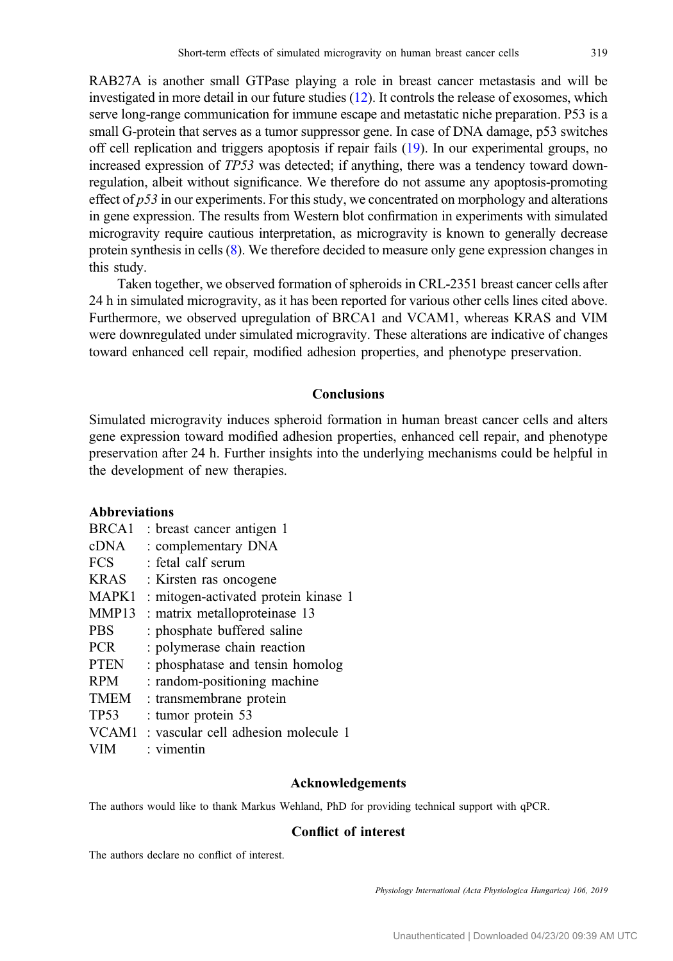RAB27A is another small GTPase playing a role in breast cancer metastasis and will be investigated in more detail in our future studies [\(12](#page-9-0)). It controls the release of exosomes, which serve long-range communication for immune escape and metastatic niche preparation. P53 is a small G-protein that serves as a tumor suppressor gene. In case of DNA damage, p53 switches off cell replication and triggers apoptosis if repair fails [\(19](#page-9-0)). In our experimental groups, no increased expression of TP53 was detected; if anything, there was a tendency toward downregulation, albeit without significance. We therefore do not assume any apoptosis-promoting effect of  $p53$  in our experiments. For this study, we concentrated on morphology and alterations in gene expression. The results from Western blot confirmation in experiments with simulated microgravity require cautious interpretation, as microgravity is known to generally decrease protein synthesis in cells [\(8\)](#page-9-0). We therefore decided to measure only gene expression changes in this study.

Taken together, we observed formation of spheroids in CRL-2351 breast cancer cells after 24 h in simulated microgravity, as it has been reported for various other cells lines cited above. Furthermore, we observed upregulation of BRCA1 and VCAM1, whereas KRAS and VIM were downregulated under simulated microgravity. These alterations are indicative of changes toward enhanced cell repair, modified adhesion properties, and phenotype preservation.

# Conclusions

Simulated microgravity induces spheroid formation in human breast cancer cells and alters gene expression toward modified adhesion properties, enhanced cell repair, and phenotype preservation after 24 h. Further insights into the underlying mechanisms could be helpful in the development of new therapies.

# Abbreviations

| BRCA <sub>1</sub> | : breast cancer antigen 1            |
|-------------------|--------------------------------------|
| cDNA              | : complementary DNA                  |
| <b>FCS</b>        | : fetal calf serum                   |
| <b>KRAS</b>       | : Kirsten ras oncogene               |
| MAPK1             | : mitogen-activated protein kinase 1 |
| MMP13             | : matrix metalloproteinase 13        |
| <b>PBS</b>        | : phosphate buffered saline          |
| <b>PCR</b>        | : polymerase chain reaction          |
| <b>PTEN</b>       | : phosphatase and tensin homolog     |
| <b>RPM</b>        | : random-positioning machine         |
| <b>TMEM</b>       | : transmembrane protein              |
| <b>TP53</b>       | : tumor protein 53                   |
| VCAM1             | : vascular cell adhesion molecule 1  |
| VIM               | : vimentin                           |

#### Acknowledgements

The authors would like to thank Markus Wehland, PhD for providing technical support with qPCR.

# Conflict of interest

The authors declare no conflict of interest.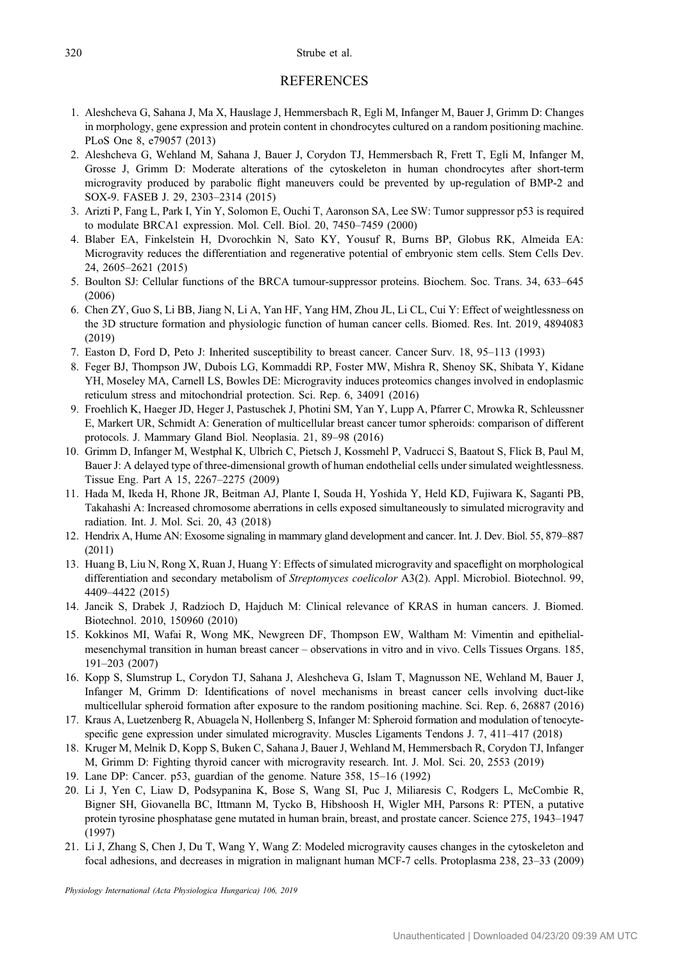#### <span id="page-9-0"></span>320 Strube et al.

#### **REFERENCES**

- 1. Aleshcheva G, Sahana J, Ma X, Hauslage J, Hemmersbach R, Egli M, Infanger M, Bauer J, Grimm D: Changes in morphology, gene expression and protein content in chondrocytes cultured on a random positioning machine. PLoS One 8, e79057 (2013)
- 2. Aleshcheva G, Wehland M, Sahana J, Bauer J, Corydon TJ, Hemmersbach R, Frett T, Egli M, Infanger M, Grosse J, Grimm D: Moderate alterations of the cytoskeleton in human chondrocytes after short-term microgravity produced by parabolic flight maneuvers could be prevented by up-regulation of BMP-2 and SOX-9. FASEB J. 29, 2303–2314 (2015)
- 3. Arizti P, Fang L, Park I, Yin Y, Solomon E, Ouchi T, Aaronson SA, Lee SW: Tumor suppressor p53 is required to modulate BRCA1 expression. Mol. Cell. Biol. 20, 7450–7459 (2000)
- 4. Blaber EA, Finkelstein H, Dvorochkin N, Sato KY, Yousuf R, Burns BP, Globus RK, Almeida EA: Microgravity reduces the differentiation and regenerative potential of embryonic stem cells. Stem Cells Dev. 24, 2605–2621 (2015)
- 5. Boulton SJ: Cellular functions of the BRCA tumour-suppressor proteins. Biochem. Soc. Trans. 34, 633–645 (2006)
- 6. Chen ZY, Guo S, Li BB, Jiang N, Li A, Yan HF, Yang HM, Zhou JL, Li CL, Cui Y: Effect of weightlessness on the 3D structure formation and physiologic function of human cancer cells. Biomed. Res. Int. 2019, 4894083 (2019)
- 7. Easton D, Ford D, Peto J: Inherited susceptibility to breast cancer. Cancer Surv. 18, 95–113 (1993)
- 8. Feger BJ, Thompson JW, Dubois LG, Kommaddi RP, Foster MW, Mishra R, Shenoy SK, Shibata Y, Kidane YH, Moseley MA, Carnell LS, Bowles DE: Microgravity induces proteomics changes involved in endoplasmic reticulum stress and mitochondrial protection. Sci. Rep. 6, 34091 (2016)
- 9. Froehlich K, Haeger JD, Heger J, Pastuschek J, Photini SM, Yan Y, Lupp A, Pfarrer C, Mrowka R, Schleussner E, Markert UR, Schmidt A: Generation of multicellular breast cancer tumor spheroids: comparison of different protocols. J. Mammary Gland Biol. Neoplasia. 21, 89–98 (2016)
- 10. Grimm D, Infanger M, Westphal K, Ulbrich C, Pietsch J, Kossmehl P, Vadrucci S, Baatout S, Flick B, Paul M, Bauer J: A delayed type of three-dimensional growth of human endothelial cells under simulated weightlessness. Tissue Eng. Part A 15, 2267–2275 (2009)
- 11. Hada M, Ikeda H, Rhone JR, Beitman AJ, Plante I, Souda H, Yoshida Y, Held KD, Fujiwara K, Saganti PB, Takahashi A: Increased chromosome aberrations in cells exposed simultaneously to simulated microgravity and radiation. Int. J. Mol. Sci. 20, 43 (2018)
- 12. Hendrix A, Hume AN: Exosome signaling in mammary gland development and cancer. Int. J. Dev. Biol. 55, 879–887 (2011)
- 13. Huang B, Liu N, Rong X, Ruan J, Huang Y: Effects of simulated microgravity and spaceflight on morphological differentiation and secondary metabolism of Streptomyces coelicolor A3(2). Appl. Microbiol. Biotechnol. 99, 4409–4422 (2015)
- 14. Jancik S, Drabek J, Radzioch D, Hajduch M: Clinical relevance of KRAS in human cancers. J. Biomed. Biotechnol. 2010, 150960 (2010)
- 15. Kokkinos MI, Wafai R, Wong MK, Newgreen DF, Thompson EW, Waltham M: Vimentin and epithelialmesenchymal transition in human breast cancer – observations in vitro and in vivo. Cells Tissues Organs. 185, 191–203 (2007)
- 16. Kopp S, Slumstrup L, Corydon TJ, Sahana J, Aleshcheva G, Islam T, Magnusson NE, Wehland M, Bauer J, Infanger M, Grimm D: Identifications of novel mechanisms in breast cancer cells involving duct-like multicellular spheroid formation after exposure to the random positioning machine. Sci. Rep. 6, 26887 (2016)
- 17. Kraus A, Luetzenberg R, Abuagela N, Hollenberg S, Infanger M: Spheroid formation and modulation of tenocytespecific gene expression under simulated microgravity. Muscles Ligaments Tendons J. 7, 411–417 (2018)
- 18. Kruger M, Melnik D, Kopp S, Buken C, Sahana J, Bauer J, Wehland M, Hemmersbach R, Corydon TJ, Infanger M, Grimm D: Fighting thyroid cancer with microgravity research. Int. J. Mol. Sci. 20, 2553 (2019)
- 19. Lane DP: Cancer. p53, guardian of the genome. Nature 358, 15–16 (1992)
- 20. Li J, Yen C, Liaw D, Podsypanina K, Bose S, Wang SI, Puc J, Miliaresis C, Rodgers L, McCombie R, Bigner SH, Giovanella BC, Ittmann M, Tycko B, Hibshoosh H, Wigler MH, Parsons R: PTEN, a putative protein tyrosine phosphatase gene mutated in human brain, breast, and prostate cancer. Science 275, 1943–1947 (1997)
- 21. Li J, Zhang S, Chen J, Du T, Wang Y, Wang Z: Modeled microgravity causes changes in the cytoskeleton and focal adhesions, and decreases in migration in malignant human MCF-7 cells. Protoplasma 238, 23–33 (2009)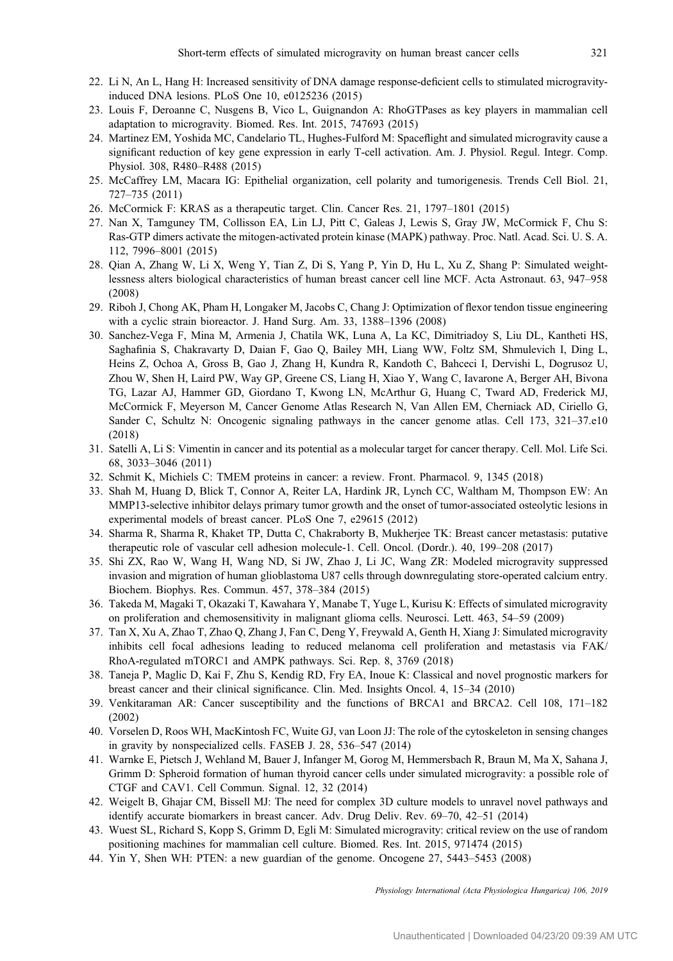- <span id="page-10-0"></span>22. Li N, An L, Hang H: Increased sensitivity of DNA damage response-deficient cells to stimulated microgravityinduced DNA lesions. PLoS One 10, e0125236 (2015)
- 23. Louis F, Deroanne C, Nusgens B, Vico L, Guignandon A: RhoGTPases as key players in mammalian cell adaptation to microgravity. Biomed. Res. Int. 2015, 747693 (2015)
- 24. Martinez EM, Yoshida MC, Candelario TL, Hughes-Fulford M: Spaceflight and simulated microgravity cause a significant reduction of key gene expression in early T-cell activation. Am. J. Physiol. Regul. Integr. Comp. Physiol. 308, R480–R488 (2015)
- 25. McCaffrey LM, Macara IG: Epithelial organization, cell polarity and tumorigenesis. Trends Cell Biol. 21, 727–735 (2011)
- 26. McCormick F: KRAS as a therapeutic target. Clin. Cancer Res. 21, 1797–1801 (2015)
- 27. Nan X, Tamguney TM, Collisson EA, Lin LJ, Pitt C, Galeas J, Lewis S, Gray JW, McCormick F, Chu S: Ras-GTP dimers activate the mitogen-activated protein kinase (MAPK) pathway. Proc. Natl. Acad. Sci. U. S. A. 112, 7996–8001 (2015)
- 28. Qian A, Zhang W, Li X, Weng Y, Tian Z, Di S, Yang P, Yin D, Hu L, Xu Z, Shang P: Simulated weightlessness alters biological characteristics of human breast cancer cell line MCF. Acta Astronaut. 63, 947–958 (2008)
- 29. Riboh J, Chong AK, Pham H, Longaker M, Jacobs C, Chang J: Optimization of flexor tendon tissue engineering with a cyclic strain bioreactor. J. Hand Surg. Am. 33, 1388–1396 (2008)
- 30. Sanchez-Vega F, Mina M, Armenia J, Chatila WK, Luna A, La KC, Dimitriadoy S, Liu DL, Kantheti HS, Saghafinia S, Chakravarty D, Daian F, Gao Q, Bailey MH, Liang WW, Foltz SM, Shmulevich I, Ding L, Heins Z, Ochoa A, Gross B, Gao J, Zhang H, Kundra R, Kandoth C, Bahceci I, Dervishi L, Dogrusoz U, Zhou W, Shen H, Laird PW, Way GP, Greene CS, Liang H, Xiao Y, Wang C, Iavarone A, Berger AH, Bivona TG, Lazar AJ, Hammer GD, Giordano T, Kwong LN, McArthur G, Huang C, Tward AD, Frederick MJ, McCormick F, Meyerson M, Cancer Genome Atlas Research N, Van Allen EM, Cherniack AD, Ciriello G, Sander C, Schultz N: Oncogenic signaling pathways in the cancer genome atlas. Cell 173, 321–37.e10 (2018)
- 31. Satelli A, Li S: Vimentin in cancer and its potential as a molecular target for cancer therapy. Cell. Mol. Life Sci. 68, 3033–3046 (2011)
- 32. Schmit K, Michiels C: TMEM proteins in cancer: a review. Front. Pharmacol. 9, 1345 (2018)
- 33. Shah M, Huang D, Blick T, Connor A, Reiter LA, Hardink JR, Lynch CC, Waltham M, Thompson EW: An MMP13-selective inhibitor delays primary tumor growth and the onset of tumor-associated osteolytic lesions in experimental models of breast cancer. PLoS One 7, e29615 (2012)
- 34. Sharma R, Sharma R, Khaket TP, Dutta C, Chakraborty B, Mukherjee TK: Breast cancer metastasis: putative therapeutic role of vascular cell adhesion molecule-1. Cell. Oncol. (Dordr.). 40, 199–208 (2017)
- 35. Shi ZX, Rao W, Wang H, Wang ND, Si JW, Zhao J, Li JC, Wang ZR: Modeled microgravity suppressed invasion and migration of human glioblastoma U87 cells through downregulating store-operated calcium entry. Biochem. Biophys. Res. Commun. 457, 378–384 (2015)
- 36. Takeda M, Magaki T, Okazaki T, Kawahara Y, Manabe T, Yuge L, Kurisu K: Effects of simulated microgravity on proliferation and chemosensitivity in malignant glioma cells. Neurosci. Lett. 463, 54–59 (2009)
- 37. Tan X, Xu A, Zhao T, Zhao Q, Zhang J, Fan C, Deng Y, Freywald A, Genth H, Xiang J: Simulated microgravity inhibits cell focal adhesions leading to reduced melanoma cell proliferation and metastasis via FAK/ RhoA-regulated mTORC1 and AMPK pathways. Sci. Rep. 8, 3769 (2018)
- 38. Taneja P, Maglic D, Kai F, Zhu S, Kendig RD, Fry EA, Inoue K: Classical and novel prognostic markers for breast cancer and their clinical significance. Clin. Med. Insights Oncol. 4, 15–34 (2010)
- 39. Venkitaraman AR: Cancer susceptibility and the functions of BRCA1 and BRCA2. Cell 108, 171–182 (2002)
- 40. Vorselen D, Roos WH, MacKintosh FC, Wuite GJ, van Loon JJ: The role of the cytoskeleton in sensing changes in gravity by nonspecialized cells. FASEB J. 28, 536–547 (2014)
- 41. Warnke E, Pietsch J, Wehland M, Bauer J, Infanger M, Gorog M, Hemmersbach R, Braun M, Ma X, Sahana J, Grimm D: Spheroid formation of human thyroid cancer cells under simulated microgravity: a possible role of CTGF and CAV1. Cell Commun. Signal. 12, 32 (2014)
- 42. Weigelt B, Ghajar CM, Bissell MJ: The need for complex 3D culture models to unravel novel pathways and identify accurate biomarkers in breast cancer. Adv. Drug Deliv. Rev. 69–70, 42–51 (2014)
- 43. Wuest SL, Richard S, Kopp S, Grimm D, Egli M: Simulated microgravity: critical review on the use of random positioning machines for mammalian cell culture. Biomed. Res. Int. 2015, 971474 (2015)
- 44. Yin Y, Shen WH: PTEN: a new guardian of the genome. Oncogene 27, 5443–5453 (2008)